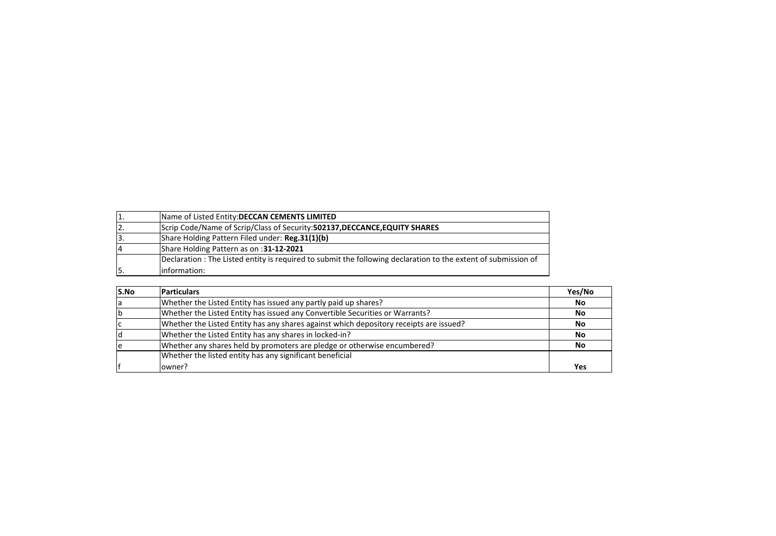| 1.             | Name of Listed Entity: DECCAN CEMENTS LIMITED                                                                 |
|----------------|---------------------------------------------------------------------------------------------------------------|
| 12.            | Scrip Code/Name of Scrip/Class of Security: 502137, DECCANCE, EQUITY SHARES                                   |
| 3.             | Share Holding Pattern Filed under: Reg.31(1)(b)                                                               |
| $\overline{4}$ | Share Holding Pattern as on : 31-12-2021                                                                      |
|                | Declaration: The Listed entity is required to submit the following declaration to the extent of submission of |
| ١5.            | information:                                                                                                  |

| S.No | <b>Particulars</b>                                                                     | Yes/No |
|------|----------------------------------------------------------------------------------------|--------|
| la   | Whether the Listed Entity has issued any partly paid up shares?                        | No     |
|      | Whether the Listed Entity has issued any Convertible Securities or Warrants?           | No     |
|      | Whether the Listed Entity has any shares against which depository receipts are issued? | No     |
|      | Whether the Listed Entity has any shares in locked-in?                                 | No     |
|      | Whether any shares held by promoters are pledge or otherwise encumbered?               | No     |
|      | Whether the listed entity has any significant beneficial                               |        |
|      | owner?                                                                                 | Yes    |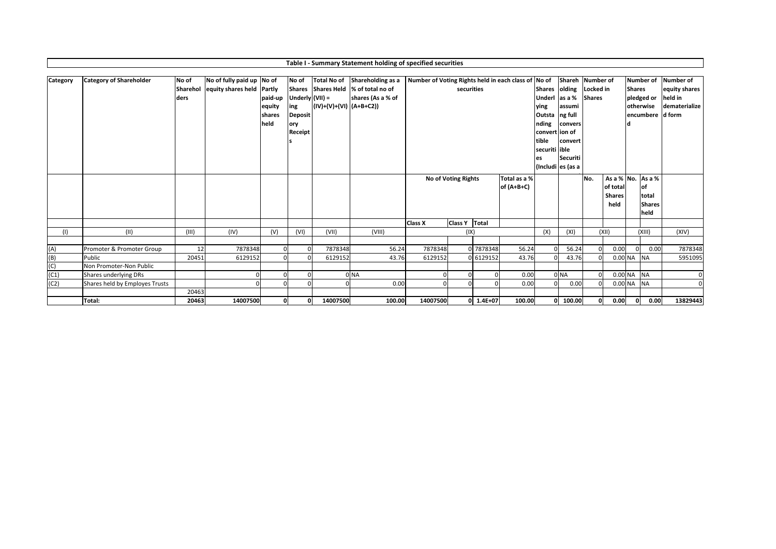|          |                                |                  |                           |                                     |                                                              |                                                  | Table I - Summary Statement holding of specified securities |                                                     |                 |                            |        |                                                                                                |                                                              |                                                 |            |                                                       |                                             |                                           |
|----------|--------------------------------|------------------|---------------------------|-------------------------------------|--------------------------------------------------------------|--------------------------------------------------|-------------------------------------------------------------|-----------------------------------------------------|-----------------|----------------------------|--------|------------------------------------------------------------------------------------------------|--------------------------------------------------------------|-------------------------------------------------|------------|-------------------------------------------------------|---------------------------------------------|-------------------------------------------|
| Category | <b>Category of Shareholder</b> | No of            | No of fully paid up No of |                                     | No of                                                        | <b>Total No of</b>                               | Shareholding as a                                           | Number of Voting Rights held in each class of No of |                 |                            |        |                                                                                                | Shareh Number of                                             |                                                 |            |                                                       | <b>Number of</b>                            | Number of                                 |
|          |                                | Sharehol<br>ders | equity shares held Partly | paid-up<br>equity<br>shares<br>held | Underly $(VII) =$<br>ing<br><b>Deposit</b><br>ory<br>Receipt | Shares Shares Held<br>$(IV)+(V)+(VI)$ $(A+B+C2)$ | % of total no of<br>shares (As a % of                       |                                                     | securities      |                            |        | <b>Shares</b><br>Underl<br>ying<br>Outsta<br>nding<br>convert ion of<br>tible<br>securiti ible | olding<br>as a %<br>lassumi<br>ng full<br>convers<br>convert | Locked in<br><b>Shares</b>                      |            | <b>Shares</b>                                         | pledged or<br>otherwise<br>encumbere d form | equity shares<br>held in<br>dematerialize |
|          |                                |                  |                           |                                     |                                                              |                                                  |                                                             |                                                     |                 |                            |        | es                                                                                             | Securiti<br>(Includi es (as a                                |                                                 |            |                                                       |                                             |                                           |
|          |                                |                  |                           |                                     |                                                              |                                                  |                                                             | No of Voting Rights                                 |                 | Total as a %<br>of (A+B+C) |        |                                                                                                | No.                                                          | As a % No.<br>of total<br><b>Shares</b><br>held |            | As a %<br><b>of</b><br>total<br><b>Shares</b><br>held |                                             |                                           |
|          |                                |                  |                           |                                     |                                                              |                                                  |                                                             | <b>Class X</b>                                      | Class Y   Total |                            |        |                                                                                                |                                                              |                                                 |            |                                                       |                                             |                                           |
| (1)      | (11)                           | (III)            | (IV)                      | (V)                                 | (VI)                                                         | (VII)                                            | (VIII)                                                      |                                                     | (IX)            |                            |        | (X)                                                                                            | (XI)                                                         |                                                 | (XII)      |                                                       | (XIII)                                      | (XIV)                                     |
| (A)      | Promoter & Promoter Group      | 12               | 7878348                   |                                     |                                                              | 7878348                                          | 56.24                                                       | 7878348                                             |                 | 0 7878348                  | 56.24  |                                                                                                | 56.24                                                        | $\Omega$                                        | 0.00       |                                                       | 0.00<br>$\Omega$                            | 7878348                                   |
| (B)      | Public                         | 20451            | 6129152                   |                                     |                                                              | 6129152                                          | 43.76                                                       | 6129152                                             |                 | 0 6129152                  | 43.76  |                                                                                                | 43.76                                                        |                                                 |            | $0.00$ NA                                             | <b>NA</b>                                   | 5951095                                   |
| (C)      | Non Promoter-Non Public        |                  |                           |                                     |                                                              |                                                  |                                                             |                                                     |                 |                            |        |                                                                                                |                                                              |                                                 |            |                                                       |                                             |                                           |
| (C1)     | Shares underlying DRs          |                  |                           |                                     |                                                              |                                                  | 0 <sub>NA</sub>                                             |                                                     |                 |                            | 0.00   |                                                                                                | 0 <sub>NA</sub>                                              |                                                 |            |                                                       | 0.00 NA NA                                  | $\mathbf 0$                               |
| (C2)     | Shares held by Employes Trusts |                  |                           |                                     |                                                              | $\Omega$                                         | 0.00                                                        |                                                     | $\Omega$        |                            | 0.00   | $\Omega$                                                                                       | 0.00                                                         |                                                 |            | 0.00 NA                                               | <b>NA</b>                                   | $\Omega$                                  |
|          |                                | 20463            |                           |                                     |                                                              |                                                  |                                                             |                                                     |                 |                            |        |                                                                                                |                                                              |                                                 |            |                                                       |                                             |                                           |
|          | Total:                         | 20463            | 14007500                  | $\Omega$                            |                                                              | 14007500                                         | 100.00                                                      | 14007500                                            |                 | $0$ 1.4E+07                | 100.00 |                                                                                                | $0$ 100.00                                                   |                                                 | 0.00<br>οl |                                                       | 0.00<br>0                                   | 13829443                                  |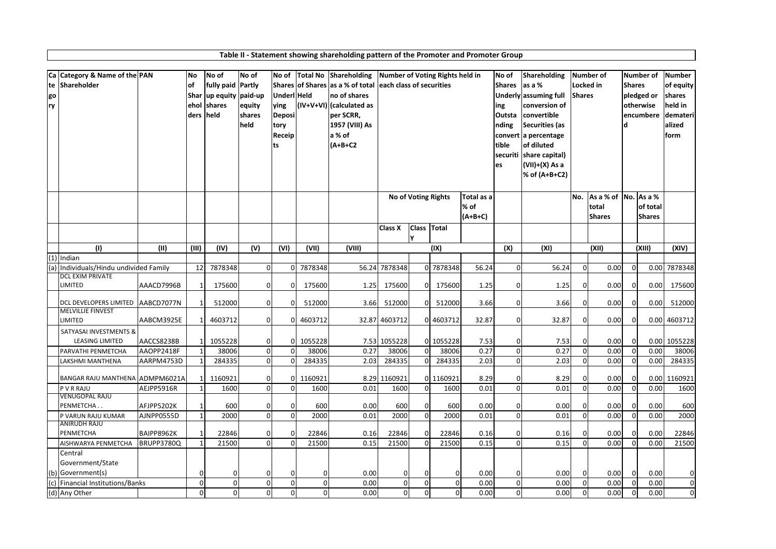|    | Ca Category & Name of the PAN                                     |            | No           | No of             | No of            | No of          | <b>Total No</b> | Shareholding                     |                          |             | Number of Voting Rights held in |            | No of                     | Shareholding                       |                | <b>Number of</b>     |               | <b>Number of</b> | <b>Number</b>  |
|----|-------------------------------------------------------------------|------------|--------------|-------------------|------------------|----------------|-----------------|----------------------------------|--------------------------|-------------|---------------------------------|------------|---------------------------|------------------------------------|----------------|----------------------|---------------|------------------|----------------|
| te | Shareholder                                                       |            | of           | fully paid Partly |                  |                |                 | Shares of Shares as a % of total | each class of securities |             |                                 |            | <b>Shares</b>             | as a %                             | Locked in      |                      | <b>Shares</b> |                  | of equity      |
| go |                                                                   |            | Shar         | up equity paid-up |                  | Underl Held    |                 | no of shares                     |                          |             |                                 |            |                           | Underly assuming full              | <b>Shares</b>  |                      |               | pledged or       | shares         |
| ry |                                                                   |            | ehol         | shares            | equity           | ying           |                 | (IV+V+VI) (calculated as         |                          |             |                                 |            | ing                       | conversion of                      |                |                      |               | otherwise        | held in        |
|    |                                                                   |            | ders         | held              | shares           | <b>Deposi</b>  |                 | per SCRR,                        |                          |             |                                 |            | Outsta                    | convertible                        |                |                      |               | encumbere        | demateri       |
|    |                                                                   |            |              |                   | held             | tory<br>Receip |                 | 1957 (VIII) As<br>a % of         |                          |             |                                 |            | nding                     | <b>Securities (as</b>              |                |                      |               |                  | alized<br>form |
|    |                                                                   |            |              |                   |                  | ts             |                 | $(A+B+C2$                        |                          |             |                                 |            | tible                     | convert a percentage<br>of diluted |                |                      |               |                  |                |
|    |                                                                   |            |              |                   |                  |                |                 |                                  |                          |             |                                 |            | securiti                  | share capital)                     |                |                      |               |                  |                |
|    |                                                                   |            |              |                   |                  |                |                 |                                  |                          |             |                                 |            | es                        | (VII)+(X) As a                     |                |                      |               |                  |                |
|    |                                                                   |            |              |                   |                  |                |                 |                                  |                          |             |                                 |            |                           | % of (A+B+C2)                      |                |                      |               |                  |                |
|    |                                                                   |            |              |                   |                  |                |                 |                                  |                          |             |                                 |            |                           |                                    |                |                      |               |                  |                |
|    |                                                                   |            |              |                   |                  |                |                 |                                  |                          |             | No of Voting Rights             | Total as a |                           |                                    | No.            | As a % of No. As a % |               |                  |                |
|    |                                                                   |            |              |                   |                  |                |                 |                                  |                          |             |                                 | % of       |                           |                                    |                | total                |               | of total         |                |
|    |                                                                   |            |              |                   |                  |                |                 |                                  |                          |             |                                 | $(A+B+C)$  |                           |                                    |                | <b>Shares</b>        |               | <b>Shares</b>    |                |
|    |                                                                   |            |              |                   |                  |                |                 |                                  | Class X                  | Class Total |                                 |            |                           |                                    |                |                      |               |                  |                |
|    |                                                                   |            |              |                   |                  |                |                 |                                  |                          | Y           |                                 |            |                           |                                    |                |                      |               |                  |                |
|    | (1)                                                               | (II)       | (III)        | (IV)              | $\overline{(V)}$ | (VI)           | (VII)           | (VIII)                           |                          |             | (IX)                            |            | $\overline{(\mathsf{X})}$ | (XI)                               |                | (XII)                |               | (XIII)           | (XIV)          |
|    | $(1)$ Indian                                                      |            |              |                   |                  |                |                 |                                  |                          |             |                                 |            |                           |                                    |                |                      |               |                  |                |
|    | (a) Individuals/Hindu undivided Family<br><b>DCL EXIM PRIVATE</b> |            | 12           | 7878348           | $\mathbf 0$      | $\overline{0}$ | 7878348         | 56.24                            | 7878348                  |             | 0 7878348                       | 56.24      | $\mathbf 0$               | 56.24                              | $\overline{0}$ | 0.00                 | $\mathbf 0$   | 0.00             | 7878348        |
|    | <b>LIMITED</b>                                                    | AAACD7996B |              | 175600            | $\mathbf 0$      | $\Omega$       | 175600          | 1.25                             | 175600                   | ŋ           | 175600                          | 1.25       | $\overline{0}$            | 1.25                               | $\Omega$       | 0.00                 | $\mathbf 0$   | 0.00             | 175600         |
|    |                                                                   |            |              |                   |                  |                |                 |                                  |                          |             |                                 |            |                           |                                    |                |                      |               |                  |                |
|    | DCL DEVELOPERS LIMITED                                            | AABCD7077N |              | 512000            | $\mathbf 0$      | $\Omega$       | 512000          | 3.66                             | 512000                   | O           | 512000                          | 3.66       | $\overline{0}$            | 3.66                               | $\Omega$       | 0.00                 | $\mathbf 0$   | 0.00             | 512000         |
|    | <b>MELVILLIE FINVEST</b><br>LIMITED                               | AABCM3925E |              | 4603712           | $\mathbf 0$      |                | 4603712         |                                  | 32.87 4603712            |             | 0 4603712                       | 32.87      | $\overline{0}$            | 32.87                              | $\Omega$       | 0.00                 | $\mathbf 0$   | 0.00             | 4603712        |
|    |                                                                   |            |              |                   |                  |                |                 |                                  |                          |             |                                 |            |                           |                                    |                |                      |               |                  |                |
|    | SATYASAI INVESTMENTS &<br><b>LEASING LIMITED</b>                  | AACCS8238B | $\mathbf 1$  | 1055228           | $\mathbf 0$      | $\overline{0}$ | 1055228         |                                  | 7.53 1055228             |             | 0 1055228                       | 7.53       | $\overline{0}$            | 7.53                               | $\Omega$       | 0.00                 | $\mathbf 0$   | 0.00             | 1055228        |
|    | PARVATHI PENMETCHA                                                | AAOPP2418F | $\mathbf{1}$ | 38006             | $\mathbf 0$      | $\Omega$       | 38006           | 0.27                             | 38006                    | $\mathbf 0$ | 38006                           | 0.27       | $\overline{0}$            | 0.27                               | $\overline{0}$ | 0.00                 | $\mathbf 0$   | 0.00             | 38006          |
|    | LAKSHMI MANTHENA                                                  | AARPM4753D |              | 284335            | $\mathbf 0$      | $\Omega$       | 284335          | 2.03                             | 284335                   | $\Omega$    | 284335                          | 2.03       | $\Omega$                  | 2.03                               | $\Omega$       | 0.00                 | $\mathbf 0$   | 0.00             | 284335         |
|    |                                                                   |            |              |                   |                  |                |                 |                                  |                          |             |                                 |            |                           |                                    |                |                      |               |                  |                |
|    | <b>BANGAR RAJU MANTHENA</b>                                       | ADMPM6021A |              | 1160921           | $\mathbf 0$      |                | 1160921         |                                  | 8.29 1160921             |             | 0 1160921                       | 8.29       | $\mathbf 0$               | 8.29                               | $\Omega$       | 0.00                 | 0             | 0.00             | 1160921        |
|    | P V R RAJU                                                        | AEJPP5916R | $\mathbf{1}$ | 1600              | $\mathbf 0$      | $\overline{0}$ | 1600            | 0.01                             | 1600                     | $\mathbf 0$ | 1600                            | 0.01       | $\overline{0}$            | 0.01                               | $\overline{0}$ | 0.00                 | $\mathbf 0$   | 0.00             | 1600           |
|    | VENUGOPAL RAJU<br>PENMETCHA                                       | AFJPP5202K | -1           | 600               | $\overline{0}$   | $\mathbf{0}$   | 600             | 0.00                             | 600                      | $\mathbf 0$ | 600                             | 0.00       | $\overline{0}$            | 0.00                               | $\Omega$       | 0.00                 | $\mathbf 0$   | 0.00             | 600            |
|    | P VARUN RAJU KUMAR                                                | AJNPP0555D | $\mathbf{1}$ | 2000              | $\mathbf 0$      | $\overline{0}$ | 2000            | 0.01                             | 2000                     | $\Omega$    | 2000                            | 0.01       | $\overline{0}$            | 0.01                               | $\Omega$       | 0.00                 | $\mathbf 0$   | 0.00             | 2000           |
|    | <b>ANIRUDH RAJU</b>                                               |            |              |                   |                  |                |                 |                                  |                          |             |                                 |            |                           |                                    |                |                      |               |                  |                |
|    | PENMETCHA                                                         | BAIPP8962K |              | 22846             | 0                | $\mathbf 0$    | 22846           | 0.16                             | 22846                    | $\Omega$    | 22846                           | 0.16       | $\overline{0}$            | 0.16                               | U              | 0.00                 | $\mathbf 0$   | 0.00             | 22846          |
|    | AISHWARYA PENMETCHA                                               | BRUPP3780Q |              | 21500             | $\Omega$         | $\Omega$       | 21500           | 0.15                             | 21500                    | $\Omega$    | 21500                           | 0.15       | $\Omega$                  | 0.15                               | $\Omega$       | 0.00                 | $\mathbf 0$   | 0.00             | 21500          |
|    | Central                                                           |            |              |                   |                  |                |                 |                                  |                          |             |                                 |            |                           |                                    |                |                      |               |                  |                |
|    | Government/State                                                  |            |              |                   |                  |                |                 |                                  |                          |             |                                 |            |                           |                                    |                |                      |               |                  |                |
|    | (b) Government(s)                                                 |            | 0            | $\mathbf 0$       | $\mathbf 0$      | $\overline{0}$ | $\mathbf 0$     | 0.00                             | $\overline{0}$           | $\mathbf 0$ | 0                               | 0.00       | $\overline{0}$            | 0.00                               | $\Omega$       | 0.00                 | $\mathbf 0$   | 0.00             | $\mathbf 0$    |
|    | (c) Financial Institutions/Banks                                  |            | 0            | $\Omega$          | $\mathbf 0$      | $\overline{0}$ | $\mathbf 0$     | 0.00                             | $\overline{0}$           | $\Omega$    | $\mathbf 0$                     | 0.00       | $\mathbf 0$<br>$\Omega$   | 0.00                               | $\Omega$       | 0.00                 | $\mathbf 0$   | 0.00             | $\mathsf 0$    |
|    | (d) Any Other                                                     |            | 0            | $\mathbf 0$       | $\mathbf 0$      | $\mathbf{0}$   | $\mathbf 0$     | 0.00                             | $\overline{0}$           | $\Omega$    | $\mathbf{0}$                    | 0.00       |                           | 0.00                               | $\mathbf{0}$   | 0.00                 | $\mathbf 0$   | 0.00             | $\pmb{0}$      |

**Table II ‐ Statement showing shareholding pattern of the Promoter and Promoter Group**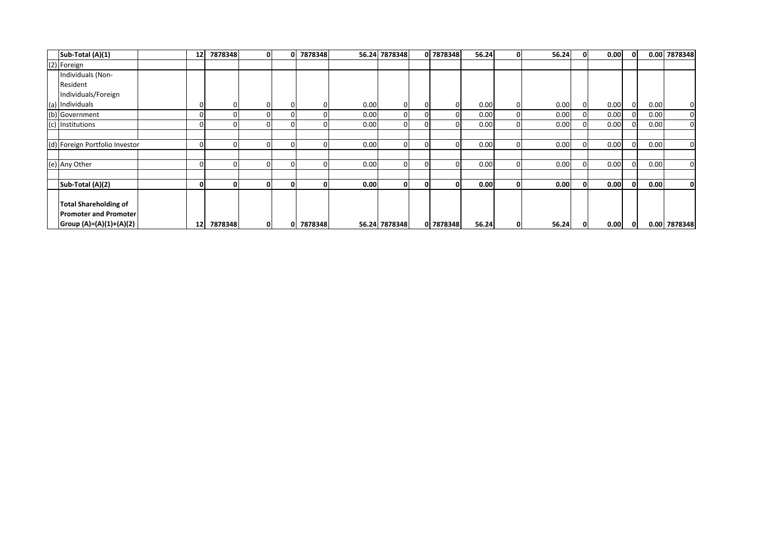| Sub-Total (A)(1)               | 12 | 7878348 | $\mathbf{0}$ | 7878348 |      | 56.24 7878348 |          | 0 7878348 | 56.24 | 0           | 56.24 | 0.00 | $\mathbf 0$ |      | 0.00 7878348   |
|--------------------------------|----|---------|--------------|---------|------|---------------|----------|-----------|-------|-------------|-------|------|-------------|------|----------------|
| (2) Foreign                    |    |         |              |         |      |               |          |           |       |             |       |      |             |      |                |
| Individuals (Non-              |    |         |              |         |      |               |          |           |       |             |       |      |             |      |                |
| Resident                       |    |         |              |         |      |               |          |           |       |             |       |      |             |      |                |
| Individuals/Foreign            |    |         |              |         |      |               |          |           |       |             |       |      |             |      |                |
| (a) Individuals                |    |         | 0            |         | 0.00 | 01            | $\Omega$ |           | 0.00  | 0           | 0.00  | 0.00 | $\Omega$    | 0.00 | 0              |
| (b) Government                 |    |         | O            |         | 0.00 | ΟI            |          |           | 0.00  |             | 0.00  | 0.00 |             | 0.00 | $\mathbf 0$    |
| (c) Institutions               |    |         | 0            |         | 0.00 | $\Omega$      |          |           | 0.00  | $\Omega$    | 0.00  | 0.00 |             | 0.00 | $\overline{0}$ |
|                                |    |         |              |         |      |               |          |           |       |             |       |      |             |      |                |
| (d) Foreign Portfolio Investor |    |         | 0            |         | 0.00 | $\Omega$      |          |           | 0.00  |             | 0.00  | 0.00 | $\Omega$    | 0.00 | $\overline{0}$ |
|                                |    |         |              |         |      |               |          |           |       |             |       |      |             |      |                |
| (e) Any Other                  |    |         | 0            |         | 0.00 | $\Omega$      | $\Omega$ |           | 0.00  |             | 0.00  | 0.00 | $\Omega$    | 0.00 | $\overline{0}$ |
|                                |    |         |              |         |      |               |          |           |       |             |       |      |             |      |                |
| Sub-Total (A)(2)               |    |         | $\mathbf{0}$ | 0       | 0.00 | $\mathbf{0}$  |          | ΩI        | 0.00  | 0           | 0.00  | 0.00 | $\Omega$    | 0.00 | $\mathbf{0}$   |
|                                |    |         |              |         |      |               |          |           |       |             |       |      |             |      |                |
| <b>Total Shareholding of</b>   |    |         |              |         |      |               |          |           |       |             |       |      |             |      |                |
| <b>Promoter and Promoter</b>   |    |         |              |         |      |               |          |           |       |             |       |      |             |      |                |
| Group (A)=(A)(1)+(A)(2)        | 12 | 7878348 | $\mathbf{0}$ | 7878348 |      | 56.24 7878348 |          | 0 7878348 | 56.24 | $\mathbf 0$ | 56.24 | 0.00 | $\mathbf 0$ |      | 0.00 7878348   |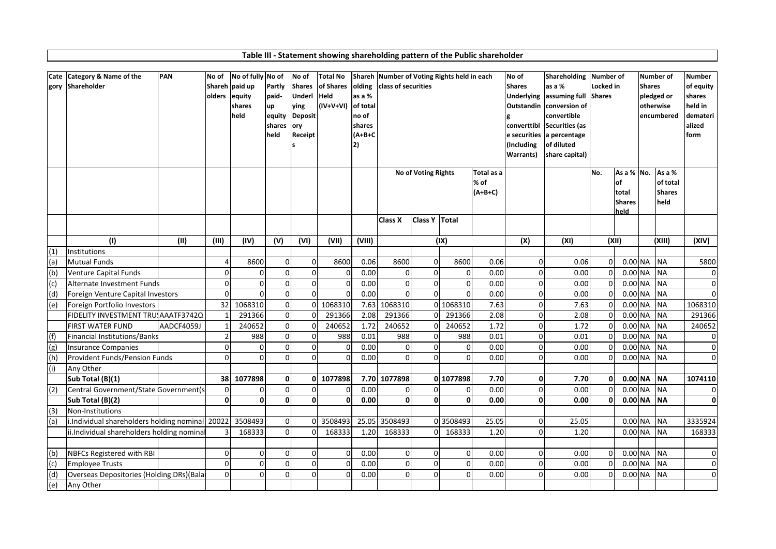|                | Cate Category & Name of the                     | PAN        | No of          | No of fully No of |                  | No of          | Total No           |                 | Shareh Number of Voting Rights held in each |                            |                |            | No of                     | <b>Shareholding</b>           | Number of      |            |               | Number of     | <b>Number</b>       |
|----------------|-------------------------------------------------|------------|----------------|-------------------|------------------|----------------|--------------------|-----------------|---------------------------------------------|----------------------------|----------------|------------|---------------------------|-------------------------------|----------------|------------|---------------|---------------|---------------------|
|                | gory Shareholder                                |            |                | Shareh paid up    | Partly           | <b>Shares</b>  | of Shares          | olding          | <b>Iclass of securities</b>                 |                            |                |            | <b>Shares</b>             | as a %                        | Locked in      |            | <b>Shares</b> |               | of equity           |
|                |                                                 |            | olders         | equity            | paid-            | Underl Held    |                    | as a %          |                                             |                            |                |            | <b>Underlying</b>         | assuming full                 | <b>Shares</b>  |            |               | pledged or    | shares              |
|                |                                                 |            |                | shares            | <b>up</b>        | ving           | (IV+V+VI) of total |                 |                                             |                            |                |            | <b>Outstandin</b>         | conversion of                 |                |            |               | otherwise     | held in             |
|                |                                                 |            |                | held              | equity<br>shares | <b>Deposit</b> |                    | no of<br>shares |                                             |                            |                |            | g<br>converttibl          | convertible<br>Securities (as |                |            |               | encumbered    | demateri<br>lalized |
|                |                                                 |            |                |                   | held             | ory<br>Receipt |                    | $(A+B+C)$       |                                             |                            |                |            | e securities              | a percentage                  |                |            |               |               | form                |
|                |                                                 |            |                |                   |                  |                |                    | 12)             |                                             |                            |                |            | (Including                | of diluted                    |                |            |               |               |                     |
|                |                                                 |            |                |                   |                  |                |                    |                 |                                             |                            |                |            | <b>Warrants</b> )         | share capital)                |                |            |               |               |                     |
|                |                                                 |            |                |                   |                  |                |                    |                 |                                             |                            |                |            |                           |                               |                |            |               |               |                     |
|                |                                                 |            |                |                   |                  |                |                    |                 |                                             | <b>No of Voting Rights</b> |                | Total as a |                           |                               | No.            | As a % No. |               | As a %        |                     |
|                |                                                 |            |                |                   |                  |                |                    |                 |                                             |                            |                | % of       |                           |                               |                | оf         |               | of total      |                     |
|                |                                                 |            |                |                   |                  |                |                    |                 |                                             |                            |                | $(A+B+C)$  |                           |                               |                | total      |               | <b>Shares</b> |                     |
|                |                                                 |            |                |                   |                  |                |                    |                 |                                             |                            |                |            |                           |                               |                | Shares     |               | held          |                     |
|                |                                                 |            |                |                   |                  |                |                    |                 | <b>Class X</b>                              | Class Y Total              |                |            |                           |                               |                | held       |               |               |                     |
|                |                                                 |            |                |                   |                  |                |                    |                 |                                             |                            |                |            |                           |                               |                |            |               |               |                     |
|                | (1)                                             | (II)       | (III)          | (IV)              | (V)              | (VI)           | (VII)              | (VIII)          |                                             |                            | (IX)           |            | $\overline{(\mathsf{X})}$ | (XI)                          |                | (XII)      |               | (XIII)        | (XIV)               |
| (1)            | Institutions                                    |            |                |                   |                  |                |                    |                 |                                             |                            |                |            |                           |                               |                |            |               |               |                     |
| (a)            | <b>Mutual Funds</b>                             |            |                | 8600              | 0                | 0              | 8600               | 0.06            | 8600                                        | $\overline{0}$             | 8600           | 0.06       | $\Omega$                  | 0.06                          | $\overline{0}$ | 0.00 NA    |               | <b>NA</b>     | 5800                |
| (b)            | Venture Capital Funds                           |            | $\Omega$       | $\Omega$          | $\Omega$         | $\Omega$       | $\Omega$           | 0.00            | $\Omega$                                    | $\Omega$                   | $\Omega$       | 0.00       | $\Omega$                  | 0.00                          | $\Omega$       | $0.00$ NA  |               | <b>NA</b>     | $\overline{0}$      |
| $\overline{c}$ | Alternate Investment Funds                      |            | $\Omega$       | $\Omega$          | $\Omega$         | $\Omega$       | $\Omega$           | 0.00            | $\Omega$                                    | $\Omega$                   | $\Omega$       | 0.00       | $\Omega$                  | 0.00                          | $\Omega$       | $0.00$ NA  |               | <b>NA</b>     | $\overline{0}$      |
| (d)            | Foreign Venture Capital Investors               |            | $\Omega$       | $\Omega$          | $\mathbf 0$      | $\mathbf 0$    | 0                  | 0.00            | $\overline{0}$                              | $\Omega$                   | $\Omega$       | 0.00       | U                         | 0.00                          | $\Omega$       | 0.00 NA    |               | <b>NA</b>     | $\overline{0}$      |
| (e)            | Foreign Portfolio Investors                     |            | 32             | 1068310           | $\mathbf 0$      | $\Omega$       | 1068310            | 7.63            | 1068310                                     |                            | 0 1068310      | 7.63       | 0                         | 7.63                          | $\Omega$       | 0.00 NA    |               | <b>NA</b>     | 1068310             |
|                | FIDELITY INVESTMENT TRUIAAATF3742Q              |            |                | 291366            | $\overline{0}$   | $\mathbf 0$    | 291366             | 2.08            | 291366                                      | $\Omega$                   | 291366         | 2.08       | $\Omega$                  | 2.08                          | $\Omega$       | 0.00 NA    |               | <b>NA</b>     | 291366              |
|                | <b>FIRST WATER FUND</b>                         | AADCF4059J |                | 240652            | $\overline{0}$   | 0              | 240652             | 1.72            | 240652                                      | $\Omega$                   | 240652         | 1.72       | $\overline{0}$            | 1.72                          | $\Omega$       | $0.00$ NA  |               | <b>NA</b>     | 240652              |
| (f)            | Financial Institutions/Banks                    |            | $\mathfrak{p}$ | 988               | $\mathbf 0$      | $\mathbf 0$    | 988                | 0.01            | 988                                         | $\Omega$                   | 988            | 0.01       | $\Omega$                  | 0.01                          | $\Omega$       | $0.00$ NA  |               | <b>NA</b>     | $\overline{0}$      |
| (g)            | Insurance Companies                             |            | $\Omega$       | $\Omega$          | $\Omega$         | $\Omega$       | $\mathbf 0$        | 0.00            | $\mathbf 0$                                 | $\Omega$                   | $\overline{0}$ | 0.00       | $\Omega$                  | 0.00                          | $\Omega$       | 0.00 NA    |               | <b>NA</b>     | $\overline{0}$      |
| (h)            | Provident Funds/Pension Funds                   |            | U              | $\Omega$          | $\Omega$         | $\Omega$       | $\Omega$           | 0.00            | $\Omega$                                    | $\Omega$                   | $\Omega$       | 0.00       | n                         | 0.00                          | $\Omega$       | $0.00$ NA  |               | <b>NA</b>     | $\Omega$            |
| (i)            | Any Other                                       |            |                |                   |                  |                |                    |                 |                                             |                            |                |            |                           |                               |                |            |               |               |                     |
|                | Sub Total (B)(1)                                |            | 38             | 1077898           | <sup>0</sup>     | $\Omega$       | 1077898            |                 | 7.70 1077898                                |                            | 0 1077898      | 7.70       | 0l                        | 7.70                          | $\mathbf{0}$   | $0.00$ NA  |               | <b>INA</b>    | 1074110             |
| (2)            | Central Government/State Government(s           |            | $\Omega$       | $\Omega$          | $\Omega$         | $\Omega$       | $\Omega$           | 0.00            | $\overline{0}$                              | $\Omega$                   | $\Omega$       | 0.00       | $\Omega$                  | 0.00                          | $\Omega$       | $0.00$ NA  |               | <b>NA</b>     | $\overline{0}$      |
|                | Sub Total (B)(2)                                |            | ΩI             | 0                 | <sup>0</sup>     | $\Omega$       | $\mathbf{0}$       | 0.00            | $\mathbf{0}$                                | ΩI                         | 0              | 0.00       | $\mathbf{0}$              | 0.00                          | $\Omega$       | $0.00$ NA  |               | <b>INA</b>    | 0                   |
| (3)            | Non-Institutions                                |            |                |                   |                  |                |                    |                 |                                             |                            |                |            |                           |                               |                |            |               |               |                     |
| (a)            | i.Individual shareholders holding nominal 20022 |            |                | 3508493           | $\mathbf 0$      | $\Omega$       | 3508493            | 25.05           | 3508493                                     |                            | 0 3508493      | 25.05      | $\Omega$                  | 25.05                         |                | 0.00 NA    |               | <b>NA</b>     | 3335924             |
|                | ii.Individual shareholders holding nomina       |            |                | 168333            | $\Omega$         | $\Omega$       | 168333             | 1.20            | 168333                                      | ΩI                         | 168333         | 1.20       | n                         | 1.20                          |                | $0.00$ NA  |               | <b>NA</b>     | 168333              |
|                |                                                 |            |                |                   |                  |                |                    |                 |                                             |                            |                |            |                           |                               |                |            |               |               |                     |
| (b)            | <b>NBFCs Registered with RBI</b>                |            | $\mathbf 0$    | $\overline{0}$    | $\mathbf 0$      | $\mathbf 0$    | $\overline{0}$     | 0.00            | $\overline{0}$                              | $\overline{0}$             | $\overline{0}$ | 0.00       | $\Omega$                  | 0.00                          | $\Omega$       | $0.00$ NA  |               | <b>NA</b>     | $\overline{0}$      |
| (c)            | <b>Employee Trusts</b>                          |            | $\Omega$       | $\Omega$          | $\Omega$         | $\mathbf 0$    | $\mathbf 0$        | 0.00            | $\pmb{0}$                                   | $\Omega$                   | $\overline{0}$ | 0.00       | $\Omega$                  | 0.00                          | $\Omega$       | 0.00 NA    |               | <b>NA</b>     | $\overline{0}$      |
| (d)            | Overseas Depositories (Holding DRs)(Bala        |            | $\Omega$       | $\Omega$          | $\Omega$         | $\Omega$       | $\Omega$           | 0.00            | $\overline{0}$                              | $\Omega$                   | $\Omega$       | 0.00       | U                         | 0.00                          | $\Omega$       | $0.00$ NA  |               | <b>NA</b>     | $\overline{0}$      |
| (e)            | Any Other                                       |            |                |                   |                  |                |                    |                 |                                             |                            |                |            |                           |                               |                |            |               |               |                     |

**Table III ‐ Statement showing shareholding pattern of the Public shareholder**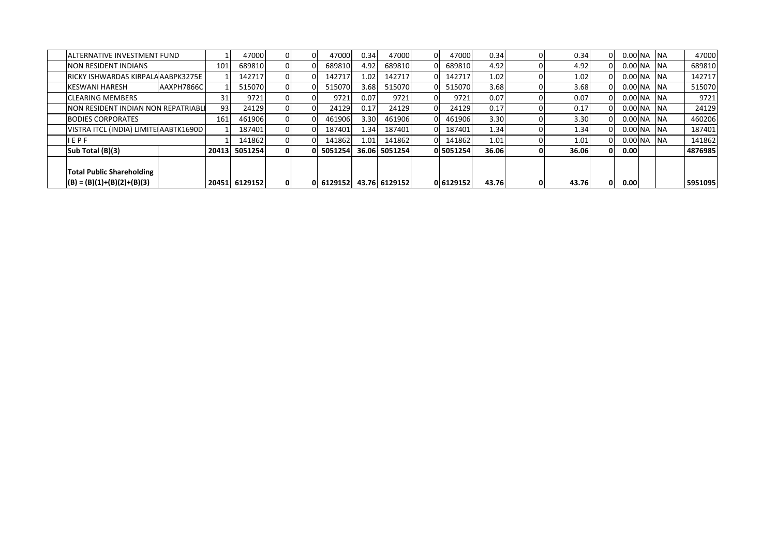| <b>JALTERNATIVE INVESTMENT FUND</b>   |            |       | 47000         |     | 47000                   | 0.34  | 47000         | 47000     | 0.34  | 0.34  |                    | $0.00$ NA NA       |            | 47000   |
|---------------------------------------|------------|-------|---------------|-----|-------------------------|-------|---------------|-----------|-------|-------|--------------------|--------------------|------------|---------|
| <b>NON RESIDENT INDIANS</b>           |            | 101   | 689810        |     | 689810                  | 4.92  | 689810        | 689810    | 4.92  | 4.92  |                    | $0.00$ NA NA       |            | 689810  |
| RICKY ISHWARDAS KIRPALA AABPK3275E    |            |       | 142717        |     | 142717                  | 1.021 | 142717        | 142717    | 1.02  | 1.02  |                    | 0.00 <sub>NA</sub> | <b>INA</b> | 142717  |
| <b>KESWANI HARESH</b>                 | AAXPH7866C |       | 515070        |     | 515070                  | 3.68  | 515070        | 515070    | 3.68  | 3.68  | 0.00 <sub>NA</sub> |                    | <b>INA</b> | 515070  |
| <b>CLEARING MEMBERS</b>               |            |       | 9721          |     | 9721                    | 0.07  | 9721          | 9721      | 0.07  | 0.07  |                    | $0.00$ NA $NA$     |            | 9721    |
| NON RESIDENT INDIAN NON REPATRIABLE   |            | 93    | 24129         |     | 24129                   | 0.17  | 24129         | 24129     | 0.17  | 0.17  | 0.00 <sub>NA</sub> |                    | <b>INA</b> | 24129   |
| <b>BODIES CORPORATES</b>              |            | 161   | 461906        |     | 461906                  | 3.30  | 461906        | 461906    | 3.30  | 3.30  | 0.00 <sub>NA</sub> |                    | <b>INA</b> | 460206  |
| VISTRA ITCL (INDIA) LIMITE AABTK1690D |            |       | 187401        |     | 187401                  | ا34.ء | 187401        | 187401    | 1.34  | 1.34  | 0.00 <sub>NA</sub> |                    | <b>INA</b> | 187401  |
| IEPF                                  |            |       | 141862        |     | 141862                  | 1.01  | 141862        | 141862    | 1.01  | 1.01  | 0.00 <sub>NA</sub> |                    | <b>INA</b> | 141862  |
| Sub Total (B)(3)                      |            | 20413 | 5051254       |     | 0 5051254               |       | 36.06 5051254 | 05051254  | 36.06 | 36.06 | 0.00               |                    |            | 4876985 |
|                                       |            |       |               |     |                         |       |               |           |       |       |                    |                    |            |         |
| <b>Total Public Shareholding</b>      |            |       |               |     |                         |       |               |           |       |       |                    |                    |            |         |
| $(B) = (B)(1)+(B)(2)+(B)(3)$          |            |       | 20451 6129152 | 0 I | 0 6129152 43.76 6129152 |       |               | 0 6129152 | 43.76 | 43.76 | 0.00               |                    |            | 5951095 |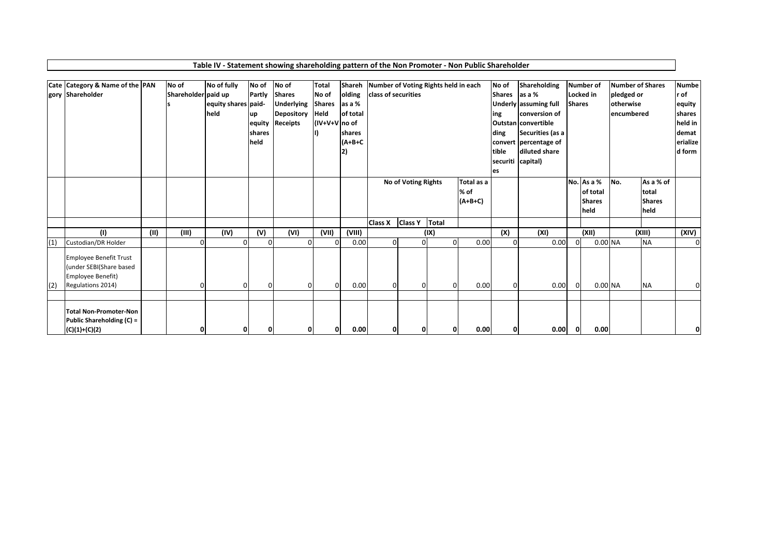|     | Cate Category & Name of the PAN |      | No of               | No of fully         | No of          | No of             | <b>Total</b>   | Shareh    | Number of Voting Rights held in each |                     |             |            | No of         | Shareholding                 |               | Number of     | Number of Shares |               | <b>Numbe</b> |
|-----|---------------------------------|------|---------------------|---------------------|----------------|-------------------|----------------|-----------|--------------------------------------|---------------------|-------------|------------|---------------|------------------------------|---------------|---------------|------------------|---------------|--------------|
|     | gory Shareholder                |      | Shareholder paid up |                     | Partly         | <b>Shares</b>     | No of          | olding    | <b>class of securities</b>           |                     |             |            | Shares as a % |                              |               | Locked in     | pledged or       |               | r of         |
|     |                                 |      |                     | equity shares paid- |                | <b>Underlying</b> | <b>Shares</b>  | as a %    |                                      |                     |             |            |               | <b>Underly assuming full</b> | <b>Shares</b> |               | otherwise        |               | equity       |
|     |                                 |      |                     | held                | up             | Depository        | Held           | of total  |                                      |                     |             |            | ing           | conversion of                |               |               | encumbered       |               | shares       |
|     |                                 |      |                     |                     |                | equity Receipts   | (IV+V+V no of  |           |                                      |                     |             |            |               | <b>Outstan</b> convertible   |               |               |                  |               | held in      |
|     |                                 |      |                     |                     | shares         |                   |                | shares    |                                      |                     |             |            | ding          | Securities (as a             |               |               |                  |               | demat        |
|     |                                 |      |                     |                     | held           |                   |                | $(A+B+C)$ |                                      |                     |             |            |               | convert percentage of        |               |               |                  |               | erialize     |
|     |                                 |      |                     |                     |                |                   |                | 2)        |                                      |                     |             |            | tible         | diluted share                |               |               |                  |               | d form       |
|     |                                 |      |                     |                     |                |                   |                |           |                                      |                     |             |            |               | securiti capital)            |               |               |                  |               |              |
|     |                                 |      |                     |                     |                |                   |                |           |                                      |                     |             |            | les           |                              |               |               |                  |               |              |
|     |                                 |      |                     |                     |                |                   |                |           |                                      | No of Voting Rights |             | Total as a |               |                              |               | No. As a %    | No.              | As a % of     |              |
|     |                                 |      |                     |                     |                |                   |                |           |                                      |                     |             | % of       |               |                              |               | of total      |                  | total         |              |
|     |                                 |      |                     |                     |                |                   |                |           |                                      |                     |             | $(A+B+C)$  |               |                              |               | <b>Shares</b> |                  | <b>Shares</b> |              |
|     |                                 |      |                     |                     |                |                   |                |           |                                      |                     |             |            |               |                              |               | held          |                  | held          |              |
|     |                                 |      |                     |                     |                |                   |                |           |                                      |                     | Total       |            |               |                              |               |               |                  |               |              |
|     |                                 |      |                     |                     |                |                   |                |           | <b>Class X</b>                       | <b>Class Y</b>      |             |            |               |                              |               |               |                  |               |              |
|     | (1)                             | (II) | (III)               | (IV)                | (V)            | (VI)              | (VII)          | (VIII)    |                                      |                     | (IX)        |            | (X)           | (XI)                         |               | (XII)         |                  | (XIII)        | (XIV)        |
| (1) | Custodian/DR Holder             |      | $\Omega$            |                     | $\Omega$       | $\Omega$          | $\Omega$       | 0.00      | $\Omega$                             | $\Omega$            | $\Omega$    | 0.00       | $\Omega$      | 0.00                         | $\Omega$      | 0.00 NA       |                  | <b>NA</b>     | $\mathbf 0$  |
|     | <b>Employee Benefit Trust</b>   |      |                     |                     |                |                   |                |           |                                      |                     |             |            |               |                              |               |               |                  |               |              |
|     | (under SEBI(Share based         |      |                     |                     |                |                   |                |           |                                      |                     |             |            |               |                              |               |               |                  |               |              |
|     | Employee Benefit)               |      |                     |                     |                |                   |                |           |                                      |                     |             |            |               |                              |               |               |                  |               |              |
| (2) | Regulations 2014)               |      | $\Omega$            | <sup>0</sup>        | $\overline{0}$ | 0                 | $\overline{0}$ | 0.00      | 0                                    | 0                   | $\mathbf 0$ | 0.00       | $\Omega$      | 0.00                         |               | 0.00 NA       |                  | <b>NA</b>     | 0            |
|     |                                 |      |                     |                     |                |                   |                |           |                                      |                     |             |            |               |                              |               |               |                  |               |              |
|     |                                 |      |                     |                     |                |                   |                |           |                                      |                     |             |            |               |                              |               |               |                  |               |              |
|     | <b>Total Non-Promoter-Non</b>   |      |                     |                     |                |                   |                |           |                                      |                     |             |            |               |                              |               |               |                  |               |              |
|     | Public Shareholding (C) =       |      |                     |                     |                |                   |                |           |                                      |                     |             |            |               |                              |               |               |                  |               |              |
|     | $(C)(1)+(C)(2)$                 |      | 0                   | Ω                   | 0              | Ω                 | O              | 0.00      | ΩI                                   | Ω                   | 0           | 0.00       | 0             | 0.00                         | 0             | 0.00          |                  |               |              |

## **Table IV ‐ Statement showing shareholding pattern of the Non Promoter ‐ Non Public Shareholder**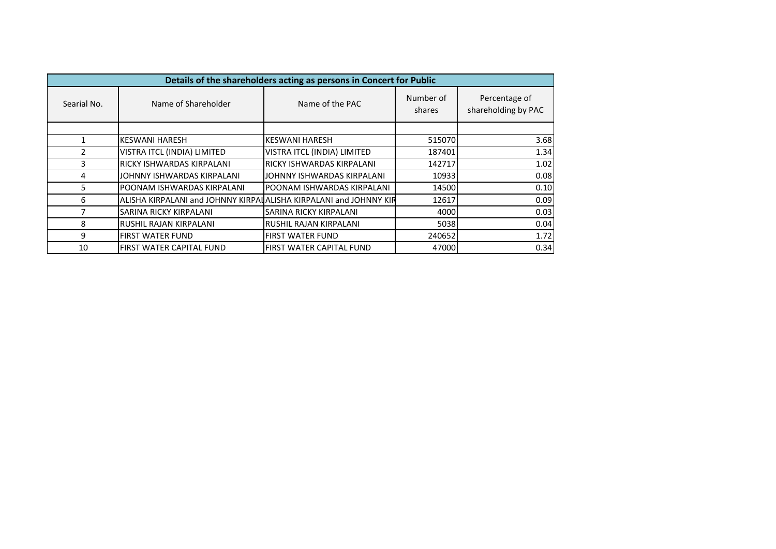|             |                                                                   | Details of the shareholders acting as persons in Concert for Public |                     |                                      |
|-------------|-------------------------------------------------------------------|---------------------------------------------------------------------|---------------------|--------------------------------------|
| Searial No. | Name of Shareholder                                               | Name of the PAC                                                     | Number of<br>shares | Percentage of<br>shareholding by PAC |
|             |                                                                   |                                                                     |                     |                                      |
|             | <b>IKESWANI HARESH</b>                                            | <b>KESWANI HARESH</b>                                               | 515070              | 3.68                                 |
|             | VISTRA ITCL (INDIA) LIMITED                                       | VISTRA ITCL (INDIA) LIMITED                                         | 187401              | 1.34                                 |
| 3           | <b>IRICKY ISHWARDAS KIRPALANI</b>                                 | <b>RICKY ISHWARDAS KIRPALANI</b>                                    | 142717              | 1.02                                 |
| 4           | JOHNNY ISHWARDAS KIRPALANI                                        | JOHNNY ISHWARDAS KIRPALANI                                          | 10933               | 0.08                                 |
| 5           | POONAM ISHWARDAS KIRPALANI                                        | IPOONAM ISHWARDAS KIRPALANI                                         | 14500               | 0.10                                 |
| 6           | ALISHA KIRPALANI and JOHNNY KIRPALALISHA KIRPALANI and JOHNNY KIR |                                                                     | 12617               | 0.09                                 |
|             | <b>SARINA RICKY KIRPALANI</b>                                     | SARINA RICKY KIRPALANI                                              | 4000                | 0.03                                 |
| 8           | IRUSHIL RAJAN KIRPALANI                                           | RUSHIL RAJAN KIRPALANI                                              | 5038                | 0.04                                 |
| 9           | <b>FIRST WATER FUND</b>                                           | <b>FIRST WATER FUND</b>                                             | 240652              | 1.72                                 |
| 10          | FIRST WATER CAPITAL FUND                                          | FIRST WATER CAPITAL FUND                                            | 47000               | 0.34                                 |